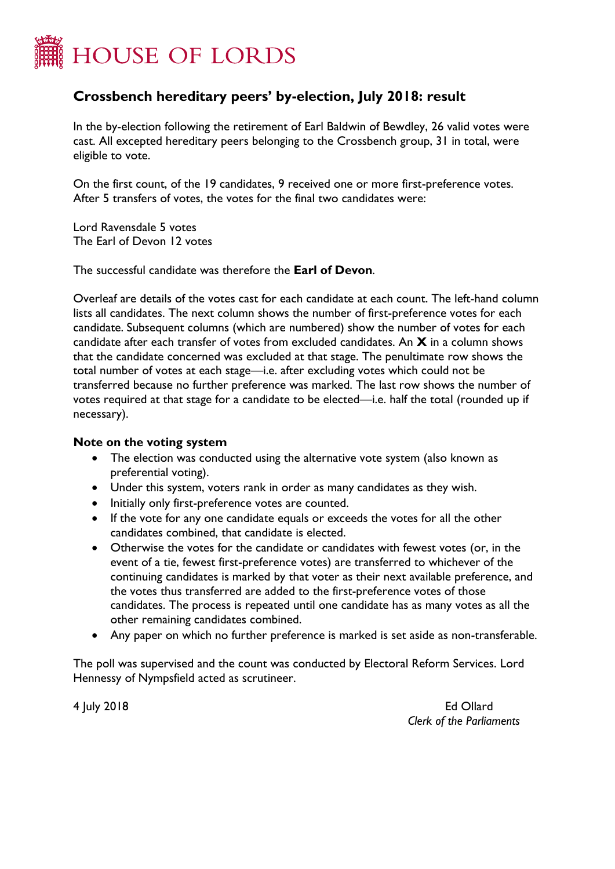

## **Crossbench hereditary peers' by-election, July 2018: result**

In the by-election following the retirement of Earl Baldwin of Bewdley, 26 valid votes were cast. All excepted hereditary peers belonging to the Crossbench group, 31 in total, were eligible to vote.

On the first count, of the 19 candidates, 9 received one or more first-preference votes. After 5 transfers of votes, the votes for the final two candidates were:

Lord Ravensdale 5 votes The Earl of Devon 12 votes

The successful candidate was therefore the **Earl of Devon**.

Overleaf are details of the votes cast for each candidate at each count. The left-hand column lists all candidates. The next column shows the number of first-preference votes for each candidate. Subsequent columns (which are numbered) show the number of votes for each candidate after each transfer of votes from excluded candidates. An **X** in a column shows that the candidate concerned was excluded at that stage. The penultimate row shows the total number of votes at each stage—i.e. after excluding votes which could not be transferred because no further preference was marked. The last row shows the number of votes required at that stage for a candidate to be elected—i.e. half the total (rounded up if necessary).

## **Note on the voting system**

- The election was conducted using the alternative vote system (also known as preferential voting).
- Under this system, voters rank in order as many candidates as they wish.
- Initially only first-preference votes are counted.
- If the vote for any one candidate equals or exceeds the votes for all the other candidates combined, that candidate is elected.
- Otherwise the votes for the candidate or candidates with fewest votes (or, in the event of a tie, fewest first-preference votes) are transferred to whichever of the continuing candidates is marked by that voter as their next available preference, and the votes thus transferred are added to the first-preference votes of those candidates. The process is repeated until one candidate has as many votes as all the other remaining candidates combined.
- Any paper on which no further preference is marked is set aside as non-transferable.

The poll was supervised and the count was conducted by Electoral Reform Services. Lord Hennessy of Nympsfield acted as scrutineer.

4 July 2018 Ed Ollard *Clerk of the Parliaments*